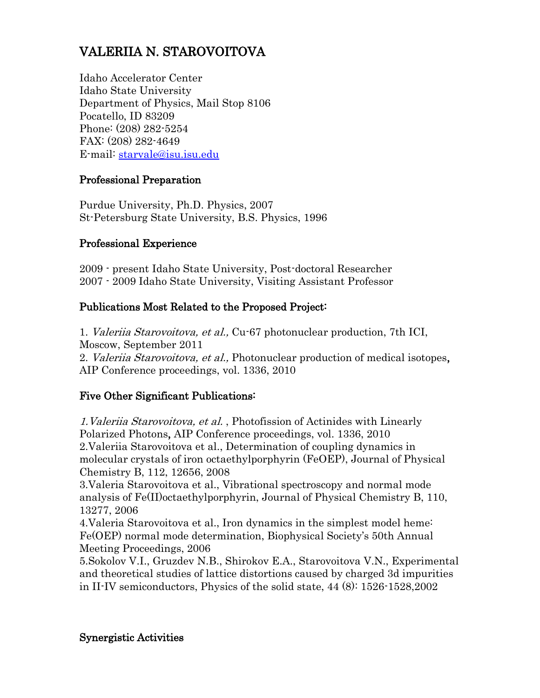# VALERIIA N. STAROVOITOVA

Idaho Accelerator Center Idaho State University Department of Physics, Mail Stop 8106 Pocatello, ID 83209 Phone: (208) 282-5254 FAX: (208) 282-4649 E-mail: [starvale@isu.isu.edu](mailto:starvale@isu.isu.edu)

## Professional Preparation

Purdue University, Ph.D. Physics, 2007 St-Petersburg State University, B.S. Physics, 1996

#### Professional Experience

2009 - present Idaho State University, Post-doctoral Researcher 2007 - 2009 Idaho State University, Visiting Assistant Professor

## Publications Most Related to the Proposed Project:

1. Valeriia Starovoitova, et al., Cu-67 photonuclear production, 7th ICI, Moscow, September 2011

2. Valeriia Starovoitova, et al., Photonuclear production of medical isotopes, AIP Conference proceedings, vol. 1336, 2010

## Five Other Significant Publications:

1.Valeriia Starovoitova, et al. , Photofission of Actinides with Linearly Polarized Photons, AIP Conference proceedings, vol. 1336, 2010 2.Valeriia Starovoitova et al., Determination of coupling dynamics in molecular crystals of iron octaethylporphyrin (FeOEP), Journal of Physical Chemistry B, 112, 12656, 2008

3.Valeria Starovoitova et al., Vibrational spectroscopy and normal mode analysis of Fe(II)octaethylporphyrin, Journal of Physical Chemistry B, 110, 13277, 2006

4.Valeria Starovoitova et al., Iron dynamics in the simplest model heme: Fe(OEP) normal mode determination, Biophysical Society's 50th Annual Meeting Proceedings, 2006

5.Sokolov V.I., Gruzdev N.B., Shirokov E.A., Starovoitova V.N., Experimental and theoretical studies of lattice distortions caused by charged 3d impurities in II-IV semiconductors, Physics of the solid state, 44 (8): 1526-1528,2002

#### Synergistic Activities